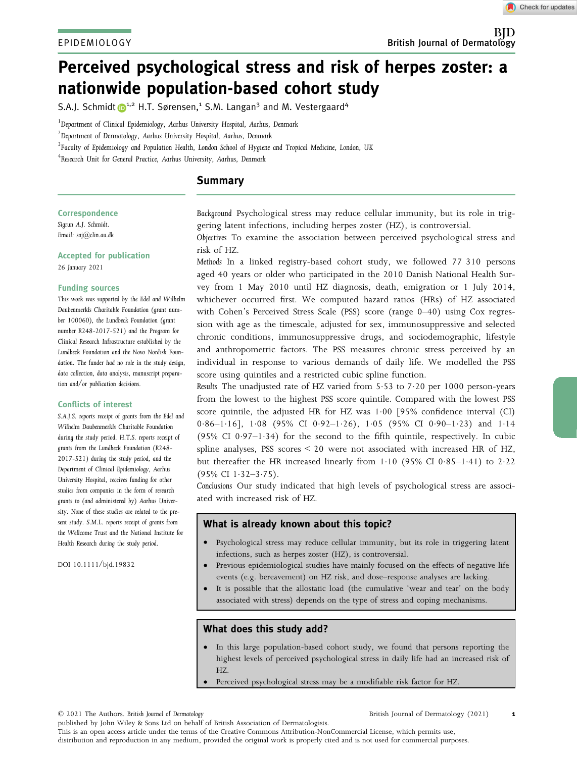# Perceived psychological stress and risk of herpes zoster: a nationwide population-based cohort study

S.A.J. Schmidt  $\mathbb{D}^{1,2}$  H.T. Sørensen,<sup>1</sup> S.M. Langan<sup>3</sup> and M. Vestergaard<sup>4</sup>

<sup>1</sup>Department of Clinical Epidemiology, Aarhus University Hospital, Aarhus, Denmark

 $^{2}$ Department of Dermatology, Aarhus University Hospital, Aarhus, Denmark

 ${}^{3}$ Faculty of Epidemiology and Population Health, London School of Hygiene and Tropical Medicine, London, UK

4 Research Unit for General Practice, Aarhus University, Aarhus, Denmark

## Summary

#### Correspondence

Sigrun A.J. Schmidt. Email: [saj@clin.au.dk](mailto:)

Accepted for publication

26 January 2021

#### Funding sources

This work was supported by the Edel and Wilhelm Daubenmerkls Charitable Foundation (grant number 100060), the Lundbeck Foundation (grant number R248-2017-521) and the Program for Clinical Research Infrastructure established by the Lundbeck Foundation and the Novo Nordisk Foundation. The funder had no role in the study design, data collection, data analysis, manuscript preparation and/or publication decisions.

#### Conflicts of interest

S.A.J.S. reports receipt of grants from the Edel and Wilhelm Daubenmerkls Charitable Foundation during the study period. H.T.S. reports receipt of grants from the Lundbeck Foundation (R248- 2017-521) during the study period, and the Department of Clinical Epidemiology, Aarhus University Hospital, receives funding for other studies from companies in the form of research grants to (and administered by) Aarhus University. None of these studies are related to the present study. S.M.L. reports receipt of grants from the Wellcome Trust and the National Institute for Health Research during the study period.

DOI 10.1111/bjd.19832

Background Psychological stress may reduce cellular immunity, but its role in triggering latent infections, including herpes zoster (HZ), is controversial.

Objectives To examine the association between perceived psychological stress and risk of HZ.

Methods In a linked registry-based cohort study, we followed 77 310 persons aged 40 years or older who participated in the 2010 Danish National Health Survey from 1 May 2010 until HZ diagnosis, death, emigration or 1 July 2014, whichever occurred first. We computed hazard ratios (HRs) of HZ associated with Cohen's Perceived Stress Scale (PSS) score (range 0–40) using Cox regression with age as the timescale, adjusted for sex, immunosuppressive and selected chronic conditions, immunosuppressive drugs, and sociodemographic, lifestyle and anthropometric factors. The PSS measures chronic stress perceived by an individual in response to various demands of daily life. We modelled the PSS score using quintiles and a restricted cubic spline function.

Results The unadjusted rate of HZ varied from 553 to 720 per 1000 person-years from the lowest to the highest PSS score quintile. Compared with the lowest PSS score quintile, the adjusted HR for HZ was  $1.00$  [95% confidence interval (CI) 0.86-1.16], 1.08 (95% CI 0.92-1.26), 1.05 (95% CI 0.90-1.23) and 1.14 (95% CI 0.97-1.34) for the second to the fifth quintile, respectively. In cubic spline analyses, PSS scores < 20 were not associated with increased HR of HZ, but thereafter the HR increased linearly from  $1.10$  (95% CI 0.85-1.41) to 2.22  $(95\% \text{ CI } 1.32 - 3.75).$ 

Conclusions Our study indicated that high levels of psychological stress are associated with increased risk of HZ.

## What is already known about this topic?

- Psychological stress may reduce cellular immunity, but its role in triggering latent infections, such as herpes zoster (HZ), is controversial.
- Previous epidemiological studies have mainly focused on the effects of negative life events (e.g. bereavement) on HZ risk, and dose–response analyses are lacking.
- It is possible that the allostatic load (the cumulative 'wear and tear' on the body associated with stress) depends on the type of stress and coping mechanisms.

## What does this study add?

- In this large population-based cohort study, we found that persons reporting the highest levels of perceived psychological stress in daily life had an increased risk of HZ.
- Perceived psychological stress may be a modifiable risk factor for HZ.

© 2021 The Authors. British Journal of Dermatology

#### British Journal of Dermatology (2021) 1

published by John Wiley & Sons Ltd on behalf of British Association of Dermatologists. This is an open access article under the terms of the [Creative Commons Attribution-NonCommercial](http://creativecommons.org/licenses/by-nc/4.0/) License, which permits use, distribution and reproduction in any medium, provided the original work is properly cited and is not used for commercial purposes.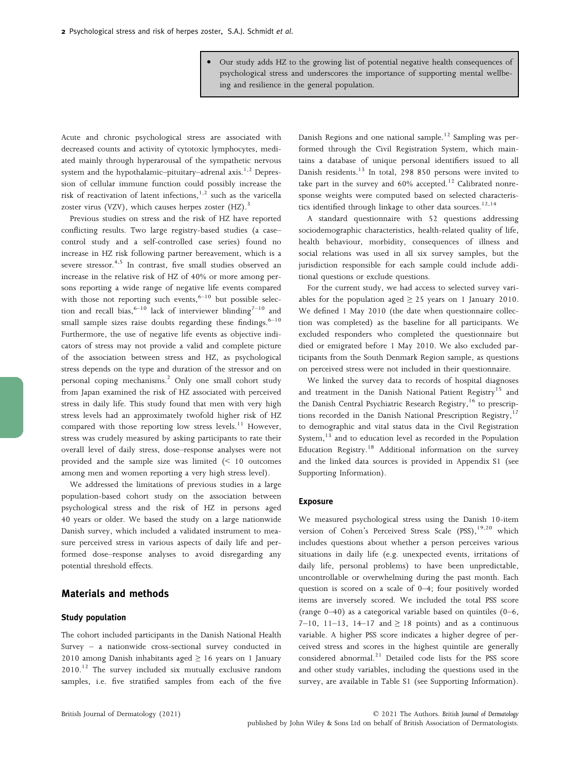• Our study adds HZ to the growing list of potential negative health consequences of psychological stress and underscores the importance of supporting mental wellbeing and resilience in the general population.

Acute and chronic psychological stress are associated with decreased counts and activity of cytotoxic lymphocytes, mediated mainly through hyperarousal of the sympathetic nervous system and the hypothalamic–pituitary–adrenal axis.<sup>1,2</sup> Depression of cellular immune function could possibly increase the risk of reactivation of latent infections, $1,2$  such as the varicella zoster virus (VZV), which causes herpes zoster  $(HZ)$ .<sup>3</sup>

Previous studies on stress and the risk of HZ have reported conflicting results. Two large registry-based studies (a case– control study and a self-controlled case series) found no increase in HZ risk following partner bereavement, which is a severe stressor.<sup>4,5</sup> In contrast, five small studies observed an increase in the relative risk of HZ of 40% or more among persons reporting a wide range of negative life events compared with those not reporting such events,  $6-10$  but possible selection and recall bias,<sup>6–10</sup> lack of interviewer blinding<sup>7–10</sup> and small sample sizes raise doubts regarding these findings. $6-10$ Furthermore, the use of negative life events as objective indicators of stress may not provide a valid and complete picture of the association between stress and HZ, as psychological stress depends on the type and duration of the stressor and on personal coping mechanisms.<sup>2</sup> Only one small cohort study from Japan examined the risk of HZ associated with perceived stress in daily life. This study found that men with very high stress levels had an approximately twofold higher risk of HZ compared with those reporting low stress levels.<sup>11</sup> However, stress was crudely measured by asking participants to rate their overall level of daily stress, dose–response analyses were not provided and the sample size was limited (< 10 outcomes among men and women reporting a very high stress level).

We addressed the limitations of previous studies in a large population-based cohort study on the association between psychological stress and the risk of HZ in persons aged 40 years or older. We based the study on a large nationwide Danish survey, which included a validated instrument to measure perceived stress in various aspects of daily life and performed dose–response analyses to avoid disregarding any potential threshold effects.

## Materials and methods

#### Study population

The cohort included participants in the Danish National Health Survey – a nationwide cross-sectional survey conducted in 2010 among Danish inhabitants aged  $\geq$  16 years on 1 January  $2010.<sup>12</sup>$  The survey included six mutually exclusive random samples, i.e. five stratified samples from each of the five

Danish Regions and one national sample.12 Sampling was performed through the Civil Registration System, which maintains a database of unique personal identifiers issued to all Danish residents.<sup>13</sup> In total, 298 850 persons were invited to take part in the survey and  $60\%$  accepted.<sup>12</sup> Calibrated nonresponse weights were computed based on selected characteristics identified through linkage to other data sources.<sup>12,14</sup>

A standard questionnaire with 52 questions addressing sociodemographic characteristics, health-related quality of life, health behaviour, morbidity, consequences of illness and social relations was used in all six survey samples, but the jurisdiction responsible for each sample could include additional questions or exclude questions.

For the current study, we had access to selected survey variables for the population aged  $\geq$  25 years on 1 January 2010. We defined 1 May 2010 (the date when questionnaire collection was completed) as the baseline for all participants. We excluded responders who completed the questionnaire but died or emigrated before 1 May 2010. We also excluded participants from the South Denmark Region sample, as questions on perceived stress were not included in their questionnaire.

We linked the survey data to records of hospital diagnoses and treatment in the Danish National Patient Registry<sup>15</sup> and the Danish Central Psychiatric Research Registry,<sup>16</sup> to prescriptions recorded in the Danish National Prescription Registry, $17$ to demographic and vital status data in the Civil Registration System,<sup>13</sup> and to education level as recorded in the Population Education Registry.<sup>18</sup> Additional information on the survey and the linked data sources is provided in Appendix S1 (see Supporting Information).

#### Exposure

We measured psychological stress using the Danish 10-item version of Cohen's Perceived Stress Scale  $(PSS)$ ,  $19,20$  which includes questions about whether a person perceives various situations in daily life (e.g. unexpected events, irritations of daily life, personal problems) to have been unpredictable, uncontrollable or overwhelming during the past month. Each question is scored on a scale of 0–4; four positively worded items are inversely scored. We included the total PSS score (range 0–40) as a categorical variable based on quintiles (0–6, 7–10, 11–13, 14–17 and  $\geq$  18 points) and as a continuous variable. A higher PSS score indicates a higher degree of perceived stress and scores in the highest quintile are generally considered abnormal.<sup>21</sup> Detailed code lists for the PSS score and other study variables, including the questions used in the survey, are available in Table S1 (see Supporting Information).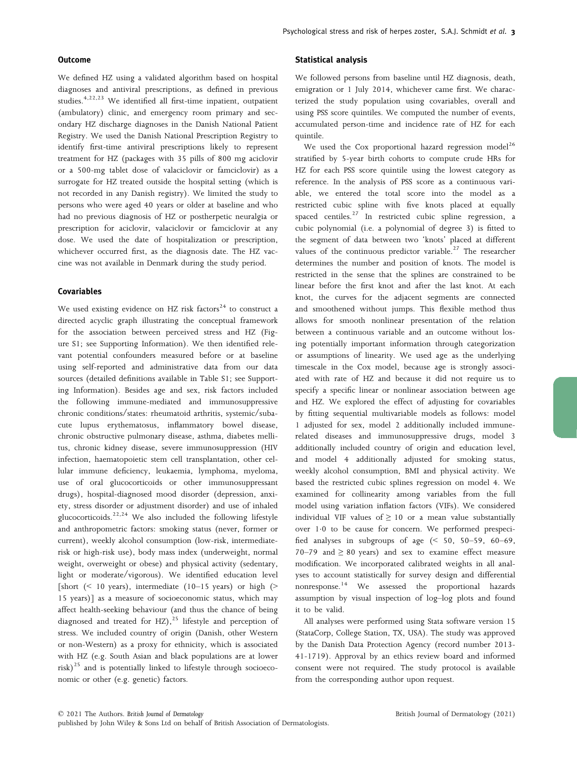#### **Outcome**

We defined HZ using a validated algorithm based on hospital diagnoses and antiviral prescriptions, as defined in previous studies.4,22,23 We identified all first-time inpatient, outpatient (ambulatory) clinic, and emergency room primary and secondary HZ discharge diagnoses in the Danish National Patient Registry. We used the Danish National Prescription Registry to identify first-time antiviral prescriptions likely to represent treatment for HZ (packages with 35 pills of 800 mg aciclovir or a 500-mg tablet dose of valaciclovir or famciclovir) as a surrogate for HZ treated outside the hospital setting (which is not recorded in any Danish registry). We limited the study to persons who were aged 40 years or older at baseline and who had no previous diagnosis of HZ or postherpetic neuralgia or prescription for aciclovir, valaciclovir or famciclovir at any dose. We used the date of hospitalization or prescription, whichever occurred first, as the diagnosis date. The HZ vaccine was not available in Denmark during the study period.

#### Covariables

We used existing evidence on HZ risk factors<sup>24</sup> to construct a directed acyclic graph illustrating the conceptual framework for the association between perceived stress and HZ (Figure S1; see Supporting Information). We then identified relevant potential confounders measured before or at baseline using self-reported and administrative data from our data sources (detailed definitions available in Table S1; see Supporting Information). Besides age and sex, risk factors included the following immune-mediated and immunosuppressive chronic conditions/states: rheumatoid arthritis, systemic/subacute lupus erythematosus, inflammatory bowel disease, chronic obstructive pulmonary disease, asthma, diabetes mellitus, chronic kidney disease, severe immunosuppression (HIV infection, haematopoietic stem cell transplantation, other cellular immune deficiency, leukaemia, lymphoma, myeloma, use of oral glucocorticoids or other immunosuppressant drugs), hospital-diagnosed mood disorder (depression, anxiety, stress disorder or adjustment disorder) and use of inhaled glucocorticoids.<sup>22,24</sup> We also included the following lifestyle and anthropometric factors: smoking status (never, former or current), weekly alcohol consumption (low-risk, intermediaterisk or high-risk use), body mass index (underweight, normal weight, overweight or obese) and physical activity (sedentary, light or moderate/vigorous). We identified education level [short  $($  10 years), intermediate  $(10-15 \text{ years})$  or high  $($ 15 years)] as a measure of socioeconomic status, which may affect health-seeking behaviour (and thus the chance of being diagnosed and treated for HZ), $^{25}$  lifestyle and perception of stress. We included country of origin (Danish, other Western or non-Western) as a proxy for ethnicity, which is associated with HZ (e.g. South Asian and black populations are at lower risk) $^{25}$  and is potentially linked to lifestyle through socioeconomic or other (e.g. genetic) factors.

#### Statistical analysis

We followed persons from baseline until HZ diagnosis, death, emigration or 1 July 2014, whichever came first. We characterized the study population using covariables, overall and using PSS score quintiles. We computed the number of events, accumulated person-time and incidence rate of HZ for each quintile.

We used the Cox proportional hazard regression model<sup>26</sup> stratified by 5-year birth cohorts to compute crude HRs for HZ for each PSS score quintile using the lowest category as reference. In the analysis of PSS score as a continuous variable, we entered the total score into the model as a restricted cubic spline with five knots placed at equally spaced centiles.<sup>27</sup> In restricted cubic spline regression, a cubic polynomial (i.e. a polynomial of degree 3) is fitted to the segment of data between two 'knots' placed at different values of the continuous predictor variable.<sup>27</sup> The researcher determines the number and position of knots. The model is restricted in the sense that the splines are constrained to be linear before the first knot and after the last knot. At each knot, the curves for the adjacent segments are connected and smoothened without jumps. This flexible method thus allows for smooth nonlinear presentation of the relation between a continuous variable and an outcome without losing potentially important information through categorization or assumptions of linearity. We used age as the underlying timescale in the Cox model, because age is strongly associated with rate of HZ and because it did not require us to specify a specific linear or nonlinear association between age and HZ. We explored the effect of adjusting for covariables by fitting sequential multivariable models as follows: model 1 adjusted for sex, model 2 additionally included immunerelated diseases and immunosuppressive drugs, model 3 additionally included country of origin and education level, and model 4 additionally adjusted for smoking status, weekly alcohol consumption, BMI and physical activity. We based the restricted cubic splines regression on model 4. We examined for collinearity among variables from the full model using variation inflation factors (VIFs). We considered individual VIF values of  $\geq$  10 or a mean value substantially over 1.0 to be cause for concern. We performed prespecified analyses in subgroups of age (< 50, 50–59, 60–69, 70–79 and  $\geq 80$  years) and sex to examine effect measure modification. We incorporated calibrated weights in all analyses to account statistically for survey design and differential nonresponse.<sup>14</sup> We assessed the proportional hazards assumption by visual inspection of log–log plots and found it to be valid.

All analyses were performed using Stata software version 15 (StataCorp, College Station, TX, USA). The study was approved by the Danish Data Protection Agency (record number 2013- 41-1719). Approval by an ethics review board and informed consent were not required. The study protocol is available from the corresponding author upon request.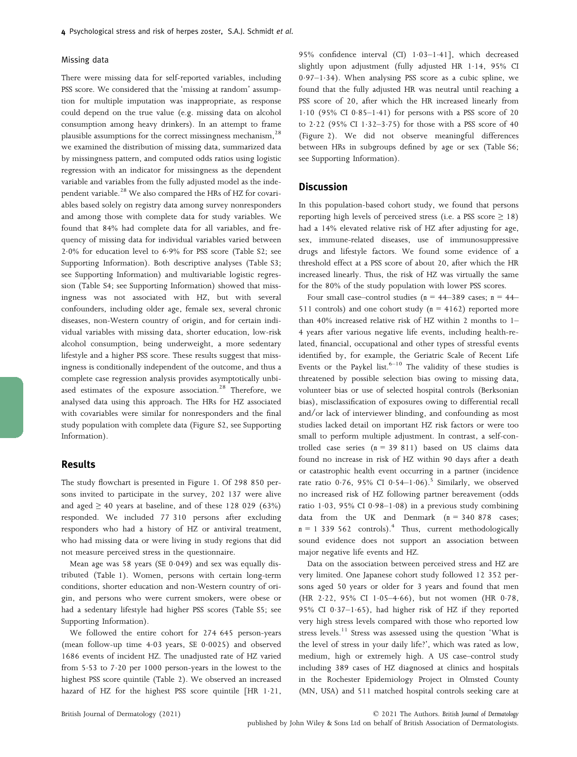#### Missing data

There were missing data for self-reported variables, including PSS score. We considered that the 'missing at random' assumption for multiple imputation was inappropriate, as response could depend on the true value (e.g. missing data on alcohol consumption among heavy drinkers). In an attempt to frame plausible assumptions for the correct missingness mechanism,<sup>28</sup> we examined the distribution of missing data, summarized data by missingness pattern, and computed odds ratios using logistic regression with an indicator for missingness as the dependent variable and variables from the fully adjusted model as the independent variable.<sup>28</sup> We also compared the HRs of HZ for covariables based solely on registry data among survey nonresponders and among those with complete data for study variables. We found that 84% had complete data for all variables, and frequency of missing data for individual variables varied between 20% for education level to 69% for PSS score (Table S2; see Supporting Information). Both descriptive analyses (Table S3; see Supporting Information) and multivariable logistic regression (Table S4; see Supporting Information) showed that missingness was not associated with HZ, but with several confounders, including older age, female sex, several chronic diseases, non-Western country of origin, and for certain individual variables with missing data, shorter education, low-risk alcohol consumption, being underweight, a more sedentary lifestyle and a higher PSS score. These results suggest that missingness is conditionally independent of the outcome, and thus a complete case regression analysis provides asymptotically unbiased estimates of the exposure association.<sup>28</sup> Therefore, we analysed data using this approach. The HRs for HZ associated with covariables were similar for nonresponders and the final study population with complete data (Figure S2, see Supporting Information).

### Results

The study flowchart is presented in Figure 1. Of 298 850 persons invited to participate in the survey, 202 137 were alive and aged  $\geq 40$  years at baseline, and of these 128 029 (63%) responded. We included 77 310 persons after excluding responders who had a history of HZ or antiviral treatment, who had missing data or were living in study regions that did not measure perceived stress in the questionnaire.

Mean age was 58 years (SE  $0.049$ ) and sex was equally distributed (Table 1). Women, persons with certain long-term conditions, shorter education and non-Western country of origin, and persons who were current smokers, were obese or had a sedentary lifestyle had higher PSS scores (Table S5; see Supporting Information).

We followed the entire cohort for 274 645 person-years (mean follow-up time  $4.03$  years, SE  $0.0025$ ) and observed 1686 events of incident HZ. The unadjusted rate of HZ varied from 5.53 to 7.20 per 1000 person-years in the lowest to the highest PSS score quintile (Table 2). We observed an increased hazard of HZ for the highest PSS score quintile  $[HR 1.21,$  95% confidence interval (CI) 1.03-1.41], which decreased slightly upon adjustment (fully adjusted HR 114, 95% CI  $0.97-1.34$ ). When analysing PSS score as a cubic spline, we found that the fully adjusted HR was neutral until reaching a PSS score of 20, after which the HR increased linearly from 1.10 (95% CI 0.85-1.41) for persons with a PSS score of 20 to  $2.22$  (95% CI  $1.32-3.75$ ) for those with a PSS score of 40 (Figure 2). We did not observe meaningful differences between HRs in subgroups defined by age or sex (Table S6; see Supporting Information).

## **Discussion**

In this population-based cohort study, we found that persons reporting high levels of perceived stress (i.e. a PSS score  $\geq$  18) had a 14% elevated relative risk of HZ after adjusting for age, sex, immune-related diseases, use of immunosuppressive drugs and lifestyle factors. We found some evidence of a threshold effect at a PSS score of about 20, after which the HR increased linearly. Thus, the risk of HZ was virtually the same for the 80% of the study population with lower PSS scores.

Four small case–control studies ( $n = 44-389$  cases;  $n = 44-$ 511 controls) and one cohort study ( $n = 4162$ ) reported more than 40% increased relative risk of HZ within 2 months to 1– 4 years after various negative life events, including health-related, financial, occupational and other types of stressful events identified by, for example, the Geriatric Scale of Recent Life Events or the Paykel list. $6-10$  The validity of these studies is threatened by possible selection bias owing to missing data, volunteer bias or use of selected hospital controls (Berksonian bias), misclassification of exposures owing to differential recall and/or lack of interviewer blinding, and confounding as most studies lacked detail on important HZ risk factors or were too small to perform multiple adjustment. In contrast, a self-controlled case series  $(n = 39 811)$  based on US claims data found no increase in risk of HZ within 90 days after a death or catastrophic health event occurring in a partner (incidence rate ratio  $0.76$ , 95% CI  $0.54-1.06$ ).<sup>5</sup> Similarly, we observed no increased risk of HZ following partner bereavement (odds ratio 1.03, 95% CI 0.98–1.08) in a previous study combining data from the UK and Denmark  $(n = 340 878$  cases;  $n = 1$  339 562 controls).<sup>4</sup> Thus, current methodologically sound evidence does not support an association between major negative life events and HZ.

Data on the association between perceived stress and HZ are very limited. One Japanese cohort study followed 12 352 persons aged 50 years or older for 3 years and found that men (HR 2.22, 95% CI 1.05-4.66), but not women (HR 0.78, 95% CI 037–165), had higher risk of HZ if they reported very high stress levels compared with those who reported low stress levels. $11$  Stress was assessed using the question 'What is the level of stress in your daily life?', which was rated as low, medium, high or extremely high. A US case–control study including 389 cases of HZ diagnosed at clinics and hospitals in the Rochester Epidemiology Project in Olmsted County (MN, USA) and 511 matched hospital controls seeking care at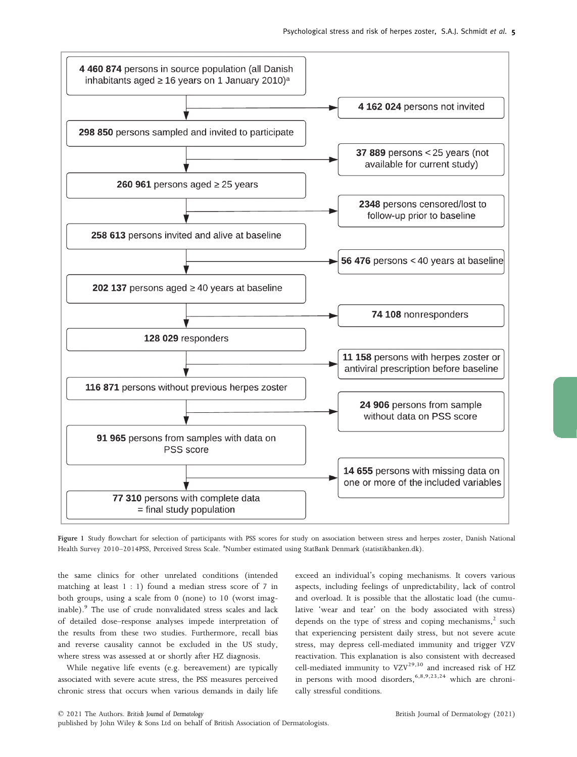

Figure 1 Study flowchart for selection of participants with PSS scores for study on association between stress and herpes zoster, Danish National Health Survey 2010–2014PSS, Perceived Stress Scale. <sup>a</sup>Number estimated using StatBank Denmark (statistikbanken.dk).

the same clinics for other unrelated conditions (intended matching at least 1 : 1) found a median stress score of 7 in both groups, using a scale from 0 (none) to 10 (worst imaginable).<sup>9</sup> The use of crude nonvalidated stress scales and lack of detailed dose–response analyses impede interpretation of the results from these two studies. Furthermore, recall bias and reverse causality cannot be excluded in the US study, where stress was assessed at or shortly after HZ diagnosis.

While negative life events (e.g. bereavement) are typically associated with severe acute stress, the PSS measures perceived chronic stress that occurs when various demands in daily life exceed an individual's coping mechanisms. It covers various aspects, including feelings of unpredictability, lack of control and overload. It is possible that the allostatic load (the cumulative 'wear and tear' on the body associated with stress) depends on the type of stress and coping mechanisms, $2$  such that experiencing persistent daily stress, but not severe acute stress, may depress cell-mediated immunity and trigger VZV reactivation. This explanation is also consistent with decreased cell-mediated immunity to  $VZV^{29,30}$  and increased risk of HZ in persons with mood disorders,<sup>6,8,9,23,24</sup> which are chronically stressful conditions.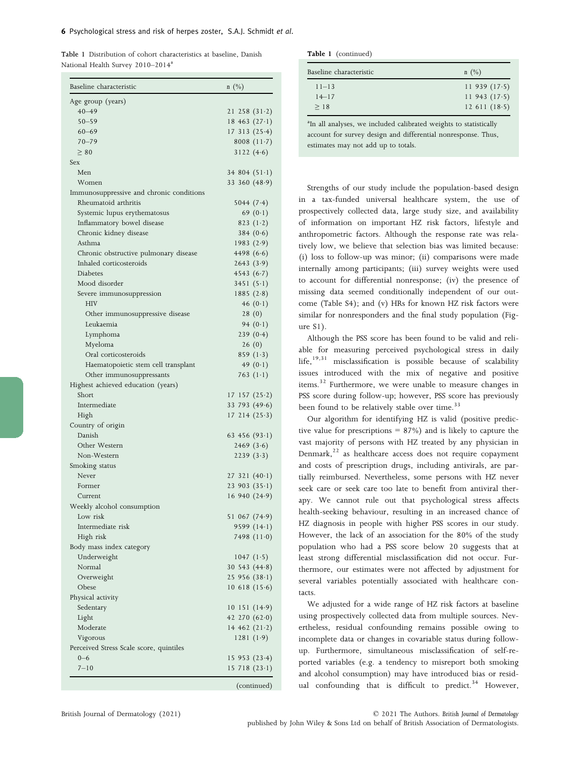|                                               | <b>Table 1</b> Distribution of cohort characteristics at baseline. Danish |  |  |
|-----------------------------------------------|---------------------------------------------------------------------------|--|--|
| National Health Survey 2010-2014 <sup>a</sup> |                                                                           |  |  |

| Baseline characteristic                  | $n \ (\%)$         |
|------------------------------------------|--------------------|
| Age group (years)                        |                    |
| $40 - 49$                                | 21258(31.2)        |
| $50 - 59$                                | 18463(27.1)        |
| $60 - 69$                                | 17313(25.4)        |
| $70 - 79$                                | 8008 $(11.7)$      |
| $\geq 80$                                | 3122(4.6)          |
| <b>Sex</b>                               |                    |
| Men                                      | 34 804 $(51.1)$    |
| Women                                    | 33 360 (48.9)      |
| Immunosuppressive and chronic conditions |                    |
| Rheumatoid arthritis                     | 5044(7.4)          |
| Systemic lupus erythematosus             | 69 $(0.1)$         |
| Inflammatory bowel disease               | 823 $(1.2)$        |
| Chronic kidney disease                   | 384(0.6)           |
| Asthma                                   | 1983(2.9)          |
| Chronic obstructive pulmonary disease    | 4498 $(6.6)$       |
| Inhaled corticosteroids                  | 2643(3.9)          |
| <b>Diabetes</b>                          | 4543 $(6.7)$       |
| Mood disorder                            | 3451(5.1)          |
| Severe immunosuppression                 | 1885(2.8)          |
| HIV                                      | 46 $(0.1)$         |
| Other immunosuppressive disease          | 28(0)              |
| Leukaemia                                | 94 $(0.1)$         |
| Lymphoma                                 | 239(0.4)           |
| Myeloma                                  | 26(0)              |
| Oral corticosteroids                     | 859 $(1.3)$        |
| Haematopoietic stem cell transplant      | 49 $(0.1)$         |
| Other immunosuppressants                 | 763 $(1-1)$        |
| Highest achieved education (years)       |                    |
| Short                                    | $17\;157\; (25.2)$ |
| Intermediate                             | 33 793 (49.6)      |
| High                                     | 17214(25.3)        |
| Country of origin                        |                    |
| Danish                                   | 63 456 $(93.1)$    |
| Other Western                            | 2469(3.6)          |
| Non-Western                              | 2239(3.3)          |
| Smoking status                           |                    |
| Never                                    | 27321(40.1)        |
| Former                                   | 23903(35.1)        |
| Current                                  | 16 940 (24.9)      |
| Weekly alcohol consumption               |                    |
| Low risk                                 | 51 067 (74.9)      |
| Intermediate risk                        | 9599 $(14.1)$      |
| High risk                                | 7498 $(11.0)$      |
| Body mass index category                 |                    |
| Underweight                              | 1047(1.5)          |
| Normal                                   | $30\,543\,(44.8)$  |
| Overweight                               | 25956(38.1)        |
| Obese                                    | 10618(15.6)        |
| Physical activity                        |                    |
| Sedentary                                | 10151(14.9)        |
| Light                                    | 42 270 $(62.0)$    |
| Moderate                                 | 14462(21.2)        |
| Vigorous                                 | 1281(1.9)          |
| Perceived Stress Scale score, quintiles  |                    |
| $0 - 6$                                  | 15953(23.4)        |
| $7 - 10$                                 | 15718(23.1)        |
|                                          |                    |

Table 1 (continued)

| Baseline characteristic | $n(\%)$         |
|-------------------------|-----------------|
| $11 - 13$               | 11 939 $(17.5)$ |
| $14 - 17$               | 11 943 $(17.5)$ |
| >18                     | 12611(18.5)     |

<sup>a</sup>In all analyses, we included calibrated weights to statistically account for survey design and differential nonresponse. Thus, estimates may not add up to totals.

Strengths of our study include the population-based design in a tax-funded universal healthcare system, the use of prospectively collected data, large study size, and availability of information on important HZ risk factors, lifestyle and anthropometric factors. Although the response rate was relatively low, we believe that selection bias was limited because: (i) loss to follow-up was minor; (ii) comparisons were made internally among participants; (iii) survey weights were used to account for differential nonresponse; (iv) the presence of missing data seemed conditionally independent of our outcome (Table S4); and (v) HRs for known HZ risk factors were similar for nonresponders and the final study population (Figure S1).

Although the PSS score has been found to be valid and reliable for measuring perceived psychological stress in daily life,<sup>19,31</sup> misclassification is possible because of scalability issues introduced with the mix of negative and positive items.<sup>32</sup> Furthermore, we were unable to measure changes in PSS score during follow-up; however, PSS score has previously been found to be relatively stable over time.<sup>33</sup>

Our algorithm for identifying HZ is valid (positive predictive value for prescriptions  $= 87\%$ ) and is likely to capture the vast majority of persons with HZ treated by any physician in Denmark, $^{22}$  as healthcare access does not require copayment and costs of prescription drugs, including antivirals, are partially reimbursed. Nevertheless, some persons with HZ never seek care or seek care too late to benefit from antiviral therapy. We cannot rule out that psychological stress affects health-seeking behaviour, resulting in an increased chance of HZ diagnosis in people with higher PSS scores in our study. However, the lack of an association for the 80% of the study population who had a PSS score below 20 suggests that at least strong differential misclassification did not occur. Furthermore, our estimates were not affected by adjustment for several variables potentially associated with healthcare contacts.

We adjusted for a wide range of HZ risk factors at baseline using prospectively collected data from multiple sources. Nevertheless, residual confounding remains possible owing to incomplete data or changes in covariable status during followup. Furthermore, simultaneous misclassification of self-reported variables (e.g. a tendency to misreport both smoking and alcohol consumption) may have introduced bias or residual confounding that is difficult to predict.<sup>34</sup> However,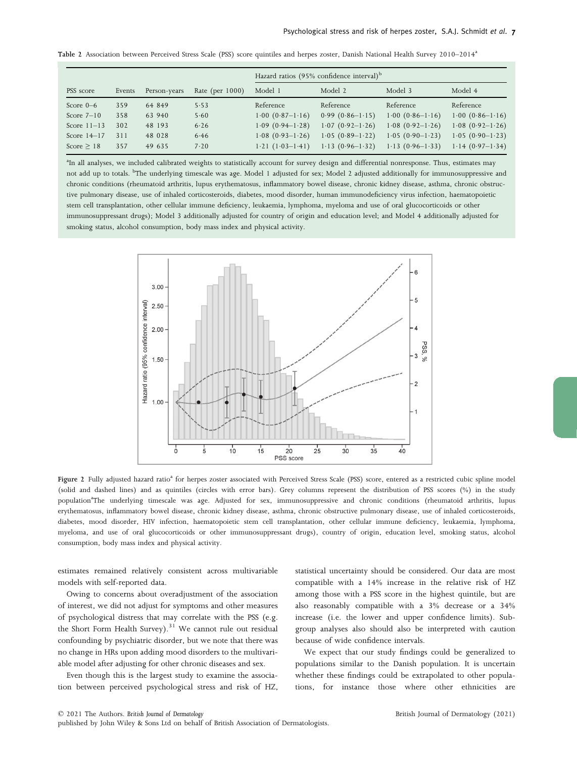Table 2 Association between Perceived Stress Scale (PSS) score quintiles and herpes zoster, Danish National Health Survey 2010–2014<sup>a</sup>

|                 |        |              |                    | Hazard ratios (95% confidence interval) <sup>b</sup> |                   |                   |                   |
|-----------------|--------|--------------|--------------------|------------------------------------------------------|-------------------|-------------------|-------------------|
| PSS score       | Events | Person-years | Rate (per $1000$ ) | Model 1                                              | Model 2           | Model 3           | Model 4           |
| Score $0-6$     | 359    | 64 849       | 5.53               | Reference                                            | Reference         | Reference         | Reference         |
| Score $7-10$    | 358    | 63 940       | 5.60               | $1.00(0.87-1.16)$                                    | $0.99(0.86-1.15)$ | $1.00(0.86-1.16)$ | $1.00(0.86-1.16)$ |
| Score $11-13$   | 302    | 48 193       | 6.26               | $1.09(0.94-1.28)$                                    | $1.07(0.92-1.26)$ | $1.08(0.92-1.26)$ | $1.08(0.92-1.26)$ |
| Score $14-17$   | 311    | 48 028       | 6.46               | $1.08(0.93-1.26)$                                    | $1.05(0.89-1.22)$ | $1.05(0.90-1.23)$ | $1.05(0.90-1.23)$ |
| Score $\geq$ 18 | 357    | 49 635       | 7.20               | $1.21(1.03-1.41)$                                    | $1.13(0.96-1.32)$ | $1.13(0.96-1.33)$ | $1.14(0.97-1.34)$ |

<sup>a</sup>In all analyses, we included calibrated weights to statistically account for survey design and differential nonresponse. Thus, estimates may not add up to totals. <sup>b</sup>The underlying timescale was age. Model 1 adjusted for sex; Model 2 adjusted additionally for immunosuppressive and chronic conditions (rheumatoid arthritis, lupus erythematosus, inflammatory bowel disease, chronic kidney disease, asthma, chronic obstructive pulmonary disease, use of inhaled corticosteroids, diabetes, mood disorder, human immunodeficiency virus infection, haematopoietic stem cell transplantation, other cellular immune deficiency, leukaemia, lymphoma, myeloma and use of oral glucocorticoids or other immunosuppressant drugs); Model 3 additionally adjusted for country of origin and education level; and Model 4 additionally adjusted for smoking status, alcohol consumption, body mass index and physical activity.



Figure 2 Fully adjusted hazard ratio<sup>a</sup> for herpes zoster associated with Perceived Stress Scale (PSS) score, entered as a restricted cubic spline model (solid and dashed lines) and as quintiles (circles with error bars). Grey columns represent the distribution of PSS scores (%) in the study population<sup>a</sup>The underlying timescale was age. Adjusted for sex, immunosuppressive and chronic conditions (rheumatoid arthritis, lupus erythematosus, inflammatory bowel disease, chronic kidney disease, asthma, chronic obstructive pulmonary disease, use of inhaled corticosteroids, diabetes, mood disorder, HIV infection, haematopoietic stem cell transplantation, other cellular immune deficiency, leukaemia, lymphoma, myeloma, and use of oral glucocorticoids or other immunosuppressant drugs), country of origin, education level, smoking status, alcohol consumption, body mass index and physical activity.

estimates remained relatively consistent across multivariable models with self-reported data.

Owing to concerns about overadjustment of the association of interest, we did not adjust for symptoms and other measures of psychological distress that may correlate with the PSS (e.g. the Short Form Health Survey). $31$  We cannot rule out residual confounding by psychiatric disorder, but we note that there was no change in HRs upon adding mood disorders to the multivariable model after adjusting for other chronic diseases and sex.

Even though this is the largest study to examine the association between perceived psychological stress and risk of HZ, statistical uncertainty should be considered. Our data are most compatible with a 14% increase in the relative risk of HZ among those with a PSS score in the highest quintile, but are also reasonably compatible with a 3% decrease or a 34% increase (i.e. the lower and upper confidence limits). Subgroup analyses also should also be interpreted with caution because of wide confidence intervals.

We expect that our study findings could be generalized to populations similar to the Danish population. It is uncertain whether these findings could be extrapolated to other populations, for instance those where other ethnicities are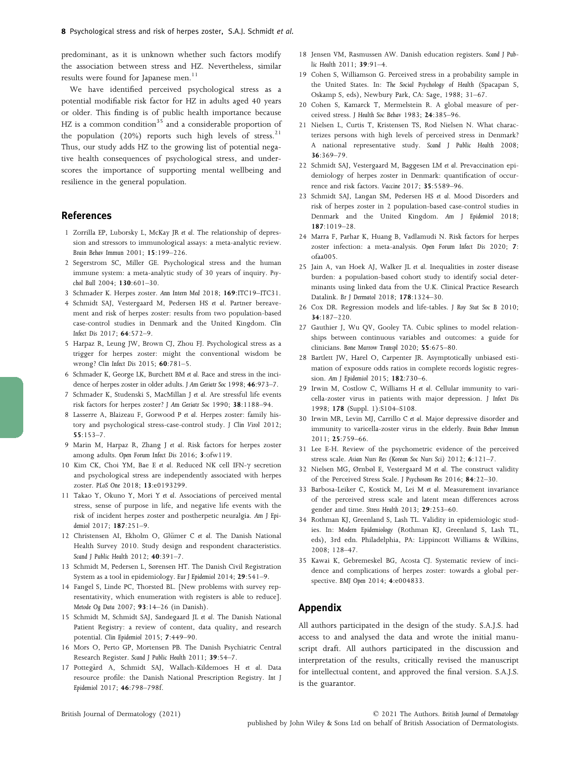predominant, as it is unknown whether such factors modify the association between stress and HZ. Nevertheless, similar results were found for Japanese men. $11$ 

We have identified perceived psychological stress as a potential modifiable risk factor for HZ in adults aged 40 years or older. This finding is of public health importance because HZ is a common condition<sup>35</sup> and a considerable proportion of the population (20%) reports such high levels of stress.<sup>21</sup> Thus, our study adds HZ to the growing list of potential negative health consequences of psychological stress, and underscores the importance of supporting mental wellbeing and resilience in the general population.

## References

- 1 Zorrilla EP, Luborsky L, McKay JR et al. The relationship of depression and stressors to immunological assays: a meta-analytic review. Brain Behav Immun 2001; 15:199–226.
- 2 Segerstrom SC, Miller GE. Psychological stress and the human immune system: a meta-analytic study of 30 years of inquiry. Psychol Bull 2004; 130:601–30.
- 3 Schmader K. Herpes zoster. Ann Intern Med 2018; 169:ITC19–ITC31.
- 4 Schmidt SAJ, Vestergaard M, Pedersen HS et al. Partner bereavement and risk of herpes zoster: results from two population-based case-control studies in Denmark and the United Kingdom. Clin Infect Dis 2017; 64:572–9.
- 5 Harpaz R, Leung JW, Brown CJ, Zhou FJ. Psychological stress as a trigger for herpes zoster: might the conventional wisdom be wrong? Clin Infect Dis 2015; 60:781–5.
- 6 Schmader K, George LK, Burchett BM et al. Race and stress in the incidence of herpes zoster in older adults. J Am Geriatr Soc 1998; 46:973–7.
- 7 Schmader K, Studenski S, MacMillan J et al. Are stressful life events risk factors for herpes zoster? J Am Geriatr Soc 1990; 38:1188–94.
- 8 Lasserre A, Blaizeau F, Gorwood P et al. Herpes zoster: family history and psychological stress-case-control study. J Clin Virol 2012; 55:153–7.
- 9 Marin M, Harpaz R, Zhang J et al. Risk factors for herpes zoster among adults. Open Forum Infect Dis 2016; 3:ofw119.
- 10 Kim CK, Choi YM, Bae E et al. Reduced NK cell IFN- $\gamma$  secretion and psychological stress are independently associated with herpes zoster. PLoS One 2018; 13:e0193299.
- 11 Takao Y, Okuno Y, Mori Y et al. Associations of perceived mental stress, sense of purpose in life, and negative life events with the risk of incident herpes zoster and postherpetic neuralgia. Am J Epidemiol 2017; 187:251–9.
- 12 Christensen AI, Ekholm O, Glümer C et al. The Danish National Health Survey 2010. Study design and respondent characteristics. Scand J Public Health 2012; 40:391–7.
- 13 Schmidt M, Pedersen L, Sørensen HT. The Danish Civil Registration System as a tool in epidemiology. Eur J Epidemiol 2014; 29:541–9.
- 14 Fangel S, Linde PC, Thorsted BL. [New problems with survey representativity, which enumeration with registers is able to reduce]. Metode Og Data 2007; 93:14–26 (in Danish).
- 15 Schmidt M, Schmidt SAJ, Sandegaard JL et al. The Danish National Patient Registry: a review of content, data quality, and research potential. Clin Epidemiol 2015; 7:449–90.
- 16 Mors O, Perto GP, Mortensen PB. The Danish Psychiatric Central Research Register. Scand J Public Health 2011; 39:54–7.
- 17 Pottegård A, Schmidt SAJ, Wallach-Kildemoes H et al. Data resource profile: the Danish National Prescription Registry. Int J Epidemiol 2017; 46:798–798f.
- 18 Jensen VM, Rasmussen AW. Danish education registers. Scand J Public Health 2011; 39:91–4.
- 19 Cohen S, Williamson G. Perceived stress in a probability sample in the United States. In: The Social Psychology of Health (Spacapan S, Oskamp S, eds), Newbury Park, CA: Sage, 1988; 31–67.
- 20 Cohen S, Kamarck T, Mermelstein R. A global measure of perceived stress. J Health Soc Behav 1983; 24:385–96.
- 21 Nielsen L, Curtis T, Kristensen TS, Rod Nielsen N. What characterizes persons with high levels of perceived stress in Denmark? A national representative study. Scand J Public Health 2008; 36:369–79.
- 22 Schmidt SAJ, Vestergaard M, Baggesen LM et al. Prevaccination epidemiology of herpes zoster in Denmark: quantification of occurrence and risk factors. Vaccine 2017; 35:5589–96.
- 23 Schmidt SAJ, Langan SM, Pedersen HS et al. Mood Disorders and risk of herpes zoster in 2 population-based case-control studies in Denmark and the United Kingdom. Am J Epidemiol 2018; 187:1019–28.
- 24 Marra F, Parhar K, Huang B, Vadlamudi N. Risk factors for herpes zoster infection: a meta-analysis. Open Forum Infect Dis 2020; 7: ofaa005.
- 25 Jain A, van Hoek AJ, Walker JL et al. Inequalities in zoster disease burden: a population-based cohort study to identify social determinants using linked data from the U.K. Clinical Practice Research Datalink. Br J Dermatol 2018; 178:1324–30.
- 26 Cox DR. Regression models and life-tables. J Roy Stat Soc B 2010; 34:187–220.
- 27 Gauthier J, Wu QV, Gooley TA. Cubic splines to model relationships between continuous variables and outcomes: a guide for clinicians. Bone Marrow Transpl 2020; 55:675–80.
- 28 Bartlett JW, Harel O, Carpenter JR. Asymptotically unbiased estimation of exposure odds ratios in complete records logistic regression. Am J Epidemiol 2015; 182:730–6.
- 29 Irwin M, Costlow C, Williams H et al. Cellular immunity to varicella-zoster virus in patients with major depression. J Infect Dis 1998; 178 (Suppl. 1):S104–S108.
- 30 Irwin MR, Levin MJ, Carrillo C et al. Major depressive disorder and immunity to varicella-zoster virus in the elderly. Brain Behav Immun 2011; 25:759–66.
- 31 Lee E-H. Review of the psychometric evidence of the perceived stress scale. Asian Nurs Res (Korean Soc Nurs Sci) 2012; 6:121-7.
- 32 Nielsen MG, Ørnbøl E, Vestergaard M et al. The construct validity of the Perceived Stress Scale. J Psychosom Res 2016; 84:22–30.
- 33 Barbosa-Leiker C, Kostick M, Lei M et al. Measurement invariance of the perceived stress scale and latent mean differences across gender and time. Stress Health 2013; 29:253–60.
- 34 Rothman KJ, Greenland S, Lash TL. Validity in epidemiologic studies. In: Modern Epidemiology (Rothman KJ, Greenland S, Lash TL, eds), 3rd edn. Philadelphia, PA: Lippincott Williams & Wilkins, 2008; 128–47.
- 35 Kawai K, Gebremeskel BG, Acosta CJ. Systematic review of incidence and complications of herpes zoster: towards a global perspective. BMJ Open 2014; 4:e004833.

## Appendix

All authors participated in the design of the study. S.A.J.S. had access to and analysed the data and wrote the initial manuscript draft. All authors participated in the discussion and interpretation of the results, critically revised the manuscript for intellectual content, and approved the final version. S.A.J.S. is the guarantor.